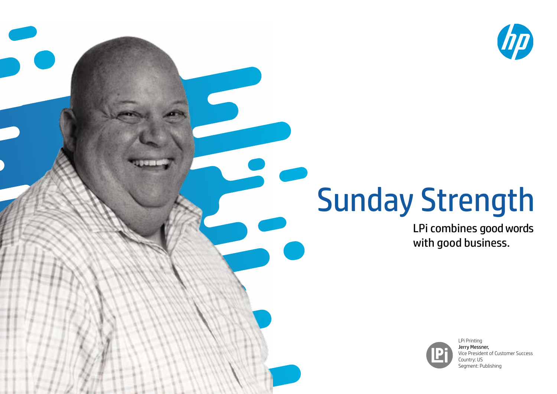

## Sunday Strength

LPi combines good words with good business.



LPi Printing Jerry Messner, Vice President of Customer Success Country: US Segment: Publishing